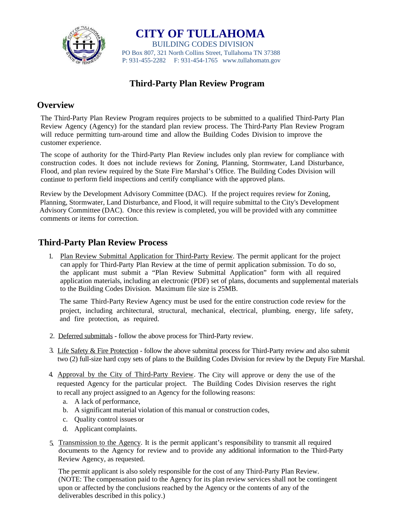

**CITY OF TULLAHOMA** BUILDING CODES DIVISION PO Box 807, 321 North Collins Street, Tullahoma TN 37388 P: 931-455-2282 F: 931-454-1765 www.tullahomatn.gov

# **Third-Party Plan Review Program**

## **Overview**

The Third-Party Plan Review Program requires projects to be submitted to a qualified Third-Party Plan Review Agency (Agency) for the standard plan review process. The Third-Party Plan Review Program will reduce permitting turn-around time and allow the Building Codes Division to improve the customer experience.

The scope of authority for the Third-Party Plan Review includes only plan review for compliance with construction codes. It does not include reviews for Zoning, Planning, Stormwater, Land Disturbance, Flood, and plan review required by the State Fire Marshal's Office. The Building Codes Division will continue to perform field inspections and certify compliance with the approved plans.

Review by the Development Advisory Committee (DAC). If the project requires review for Zoning, Planning, Stormwater, Land Disturbance, and Flood, it will require submittal to the City's Development Advisory Committee (DAC). Once this review is completed, you will be provided with any committee comments or items for correction.

## **Third-Party Plan Review Process**

1. Plan Review Submittal Application for Third-Party Review. The permit applicant for the project can apply for Third-Party Plan Review at the time of permit application submission. To do so, the applicant must submit a "Plan Review Submittal Application" form with all required application materials, including an electronic (PDF) set of plans, documents and supplemental materials to the Building Codes Division. Maximum file size is 25MB.

The same Third-Party Review Agency must be used for the entire construction code review for the project, including architectural, structural, mechanical, electrical, plumbing, energy, life safety, and fire protection, as required.

- 2. Deferred submittals follow the above process for Third-Party review.
- 3. Life Safety & Fire Protection follow the above submittal process for Third-Party review and also submit two (2) full-size hard copy sets of plans to the Building Codes Division for review by the Deputy Fire Marshal.
- 4. Approval by the City of Third-Party Review. The City will approve or deny the use of the requested Agency for the particular project. The Building Codes Division reserves the right to recall any project assigned to an Agency for the following reasons:
	- a. A lack of performance,
	- b. A significant material violation of this manual or construction codes,
	- c. Quality control issues or
	- d. Applicant complaints.
- 5. Transmission to the Agency. It is the permit applicant's responsibility to transmit all required documents to the Agency for review and to provide any additional information to the Third-Party Review Agency, as requested.

The permit applicant is also solely responsible for the cost of any Third-Party Plan Review. (NOTE: The compensation paid to the Agency for its plan review services shall not be contingent upon or affected by the conclusions reached by the Agency or the contents of any of the deliverables described in this policy.)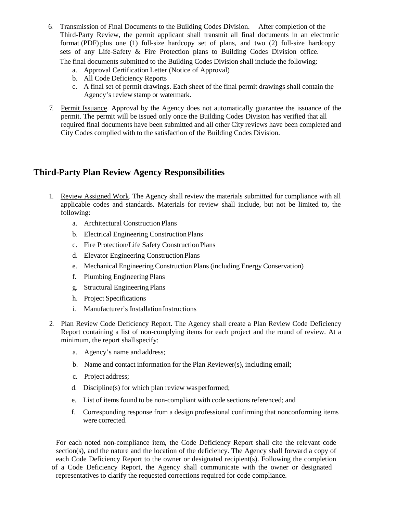6. Transmission of Final Documents to the Building Codes Division. After completion of the Third-Party Review, the permit applicant shall transmit all final documents in an electronic format (PDF) plus one (1) full-size hardcopy set of plans, and two (2) full-size hardcopy sets of any Life-Safety & Fire Protection plans to Building Codes Division office.

The final documents submitted to the Building Codes Division shall include the following:

- a. Approval Certification Letter (Notice of Approval)
- b. All Code Deficiency Reports
- c. A final set of permit drawings. Each sheet of the final permit drawings shall contain the Agency's review stamp or watermark.
- 7. Permit Issuance. Approval by the Agency does not automatically guarantee the issuance of the permit. The permit will be issued only once the Building Codes Division has verified that all required final documents have been submitted and all other City reviews have been completed and City Codes complied with to the satisfaction of the Building Codes Division.

### **Third-Party Plan Review Agency Responsibilities**

- 1. Review Assigned Work. The Agency shall review the materials submitted for compliance with all applicable codes and standards. Materials for review shall include, but not be limited to, the following:
	- a. Architectural Construction Plans
	- b. Electrical Engineering ConstructionPlans
	- c. Fire Protection/Life Safety ConstructionPlans
	- d. Elevator Engineering ConstructionPlans
	- e. Mechanical Engineering Construction Plans (including Energy Conservation)
	- f. Plumbing Engineering Plans
	- g. Structural Engineering Plans
	- h. Project Specifications
	- i. Manufacturer's Installation Instructions
- 2. Plan Review Code Deficiency Report. The Agency shall create a Plan Review Code Deficiency Report containing a list of non-complying items for each project and the round of review. At a minimum, the report shall specify:
	- a. Agency's name and address;
	- b. Name and contact information for the Plan Reviewer(s), including email;
	- c. Project address;
	- d. Discipline(s) for which plan review wasperformed;
	- e. List of items found to be non-compliant with code sections referenced; and
	- f. Corresponding response from a design professional confirming that nonconforming items were corrected.

For each noted non-compliance item, the Code Deficiency Report shall cite the relevant code section(s), and the nature and the location of the deficiency. The Agency shall forward a copy of each Code Deficiency Report to the owner or designated recipient(s). Following the completion of a Code Deficiency Report, the Agency shall communicate with the owner or designated representatives to clarify the requested corrections required for code compliance.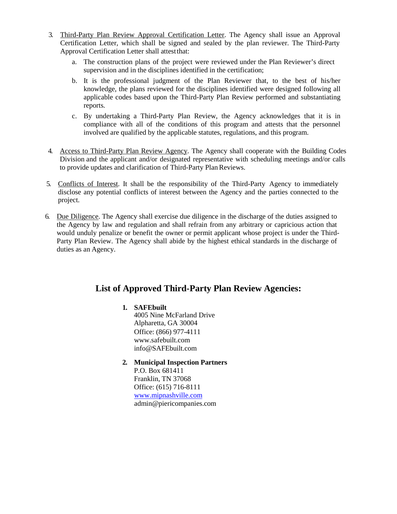- 3. Third-Party Plan Review Approval Certification Letter. The Agency shall issue an Approval Certification Letter, which shall be signed and sealed by the plan reviewer. The Third-Party Approval Certification Letter shall attest that:
	- a. The construction plans of the project were reviewed under the Plan Reviewer's direct supervision and in the disciplines identified in the certification;
	- b. It is the professional judgment of the Plan Reviewer that, to the best of his/her knowledge, the plans reviewed for the disciplines identified were designed following all applicable codes based upon the Third-Party Plan Review performed and substantiating reports.
	- c. By undertaking a Third-Party Plan Review, the Agency acknowledges that it is in compliance with all of the conditions of this program and attests that the personnel involved are qualified by the applicable statutes, regulations, and this program.
- 4. Access to Third-Party Plan Review Agency. The Agency shall cooperate with the Building Codes Division and the applicant and/or designated representative with scheduling meetings and/or calls to provide updates and clarification of Third-Party PlanReviews.
- 5. Conflicts of Interest. It shall be the responsibility of the Third-Party Agency to immediately disclose any potential conflicts of interest between the Agency and the parties connected to the project.
- 6. Due Diligence. The Agency shall exercise due diligence in the discharge of the duties assigned to the Agency by law and regulation and shall refrain from any arbitrary or capricious action that would unduly penalize or benefit the owner or permit applicant whose project is under the Third-Party Plan Review. The Agency shall abide by the highest ethical standards in the discharge of duties as an Agency.

## **List of Approved Third-Party Plan Review Agencies:**

#### **1. SAFEbuilt** Office: (866) 977-4111 www.safebuilt.com info@SAFEbuilt.com 4005 Nine McFarland Drive Alpharetta, GA 30004

**2. Municipal Inspection Partners** P.O. Box 681411 Franklin, TN 37068 Office: (615) 716-8111 www.mipnashville.com admin@piericompanies.com